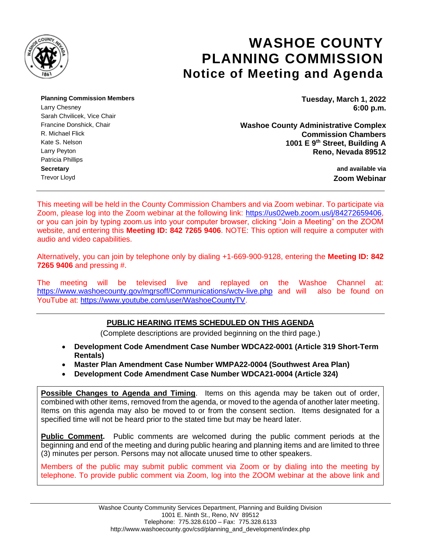

# **WASHOE COUNTY PLANNING COMMISSION Notice of Meeting and Agenda**

**Planning Commission Members Tuesday, March 1, 2022**

Sarah Chvilicek, Vice Chair Patricia Phillips **Secretary and available via** Trevor Lloyd **Zoom Webinar**

Larry Chesney **6:00 p.m.**

Francine Donshick, Chair **Complex**<br>R. Michael Flick **Complex**<br>**R. Michael Flick Chambers Commission Chambers** Kate S. Nelson **1001 E 9<sup>th</sup> Street, Building A** Larry Peyton **Reno, Nevada 89512**

This meeting will be held in the County Commission Chambers and via Zoom webinar. To participate via Zoom, please log into the Zoom webinar at the following link: [https://us02web.zoom.us/j/84272659406,](https://us02web.zoom.us/j/84272659406) or you can join by typing zoom.us into your computer browser, clicking "Join a Meeting" on the ZOOM website, and entering this **Meeting ID: 842 7265 9406**. NOTE: This option will require a computer with audio and video capabilities.

Alternatively, you can join by telephone only by dialing +1-669-900-9128, entering the **Meeting ID: 842 7265 9406** and pressing #.

The meeting will be televised live and replayed on the Washoe Channel at: <https://www.washoecounty.gov/mgrsoff/Communications/wctv-live.php> and will also be found on YouTube at: [https://www.youtube.com/user/WashoeCountyTV.](https://www.youtube.com/user/WashoeCountyTV)

# **PUBLIC HEARING ITEMS SCHEDULED ON THIS AGENDA**

(Complete descriptions are provided beginning on the third page.)

- **Development Code Amendment Case Number WDCA22-0001 (Article 319 Short-Term Rentals)**
- **Master Plan Amendment Case Number WMPA22-0004 (Southwest Area Plan)**
- **Development Code Amendment Case Number WDCA21-0004 (Article 324)**

**Possible Changes to Agenda and Timing**. Items on this agenda may be taken out of order, combined with other items, removed from the agenda, or moved to the agenda of another later meeting. Items on this agenda may also be moved to or from the consent section. Items designated for a specified time will not be heard prior to the stated time but may be heard later.

**Public Comment.** Public comments are welcomed during the public comment periods at the beginning and end of the meeting and during public hearing and planning items and are limited to three (3) minutes per person. Persons may not allocate unused time to other speakers.

Members of the public may submit public comment via Zoom or by dialing into the meeting by telephone. To provide public comment via Zoom, log into the ZOOM webinar at the above link and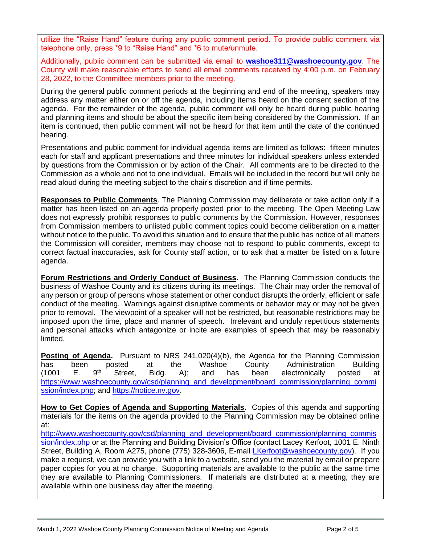utilize the "Raise Hand" feature during any public comment period. To provide public comment via telephone only, press \*9 to "Raise Hand" and \*6 to mute/unmute.

Additionally, public comment can be submitted via email to **[washoe311@washoecounty.gov](mailto:washoe311@washoecounty.gov)**. The County will make reasonable efforts to send all email comments received by 4:00 p.m. on February 28, 2022, to the Committee members prior to the meeting.

During the general public comment periods at the beginning and end of the meeting, speakers may address any matter either on or off the agenda, including items heard on the consent section of the agenda. For the remainder of the agenda, public comment will only be heard during public hearing and planning items and should be about the specific item being considered by the Commission. If an item is continued, then public comment will not be heard for that item until the date of the continued hearing.

Presentations and public comment for individual agenda items are limited as follows: fifteen minutes each for staff and applicant presentations and three minutes for individual speakers unless extended by questions from the Commission or by action of the Chair. All comments are to be directed to the Commission as a whole and not to one individual. Emails will be included in the record but will only be read aloud during the meeting subject to the chair's discretion and if time permits.

**Responses to Public Comments**. The Planning Commission may deliberate or take action only if a matter has been listed on an agenda properly posted prior to the meeting. The Open Meeting Law does not expressly prohibit responses to public comments by the Commission. However, responses from Commission members to unlisted public comment topics could become deliberation on a matter without notice to the public. To avoid this situation and to ensure that the public has notice of all matters the Commission will consider, members may choose not to respond to public comments, except to correct factual inaccuracies, ask for County staff action, or to ask that a matter be listed on a future agenda.

**Forum Restrictions and Orderly Conduct of Business.** The Planning Commission conducts the business of Washoe County and its citizens during its meetings. The Chair may order the removal of any person or group of persons whose statement or other conduct disrupts the orderly, efficient or safe conduct of the meeting. Warnings against disruptive comments or behavior may or may not be given prior to removal. The viewpoint of a speaker will not be restricted, but reasonable restrictions may be imposed upon the time, place and manner of speech. Irrelevant and unduly repetitious statements and personal attacks which antagonize or incite are examples of speech that may be reasonably limited.

**Posting of Agenda.** Pursuant to NRS 241.020(4)(b), the Agenda for the Planning Commission has been posted at the Washoe County Administration Building<br>(1001 E. 9<sup>th</sup> Street. Bldg. A): and has been electronically posted at (1001 E. 9<sup>th</sup> Street, Bldg. A); and has been electronically posted at [https://www.washoecounty.gov/csd/planning\\_and\\_development/board\\_commission/planning\\_commi](https://www.washoecounty.gov/csd/planning_and_development/board_commission/planning_commission/index.php) [ssion/index.php;](https://www.washoecounty.gov/csd/planning_and_development/board_commission/planning_commission/index.php) and [https://notice.nv.gov.](https://notice.nv.gov/)

**How to Get Copies of Agenda and Supporting Materials.** Copies of this agenda and supporting materials for the items on the agenda provided to the Planning Commission may be obtained online at:

[http://www.washoecounty.gov/csd/planning\\_and\\_development/board\\_commission/planning\\_commis](http://www.washoecounty.gov/csd/planning_and_development/board_commission/planning_commission/index.php) [sion/index.php](http://www.washoecounty.gov/csd/planning_and_development/board_commission/planning_commission/index.php) or at the Planning and Building Division's Office (contact Lacey Kerfoot, 1001 E. Ninth Street, Building A, Room A275, phone (775) 328-3606, E-mail [LKerfoot@washoecounty.gov\)](mailto:LKerfoot@washoecounty.gov). If you make a request, we can provide you with a link to a website, send you the material by email or prepare paper copies for you at no charge. Supporting materials are available to the public at the same time they are available to Planning Commissioners. If materials are distributed at a meeting, they are available within one business day after the meeting.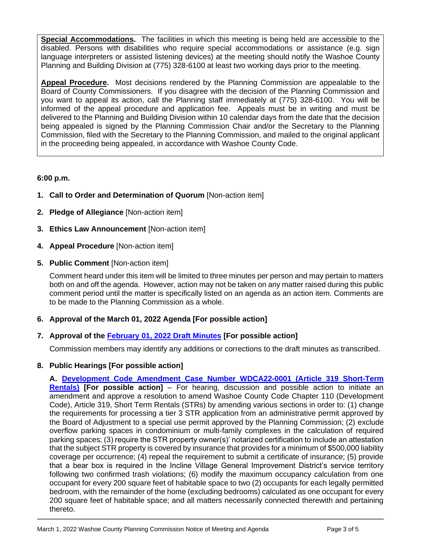**Special Accommodations.** The facilities in which this meeting is being held are accessible to the disabled. Persons with disabilities who require special accommodations or assistance (e.g. sign language interpreters or assisted listening devices) at the meeting should notify the Washoe County Planning and Building Division at (775) 328-6100 at least two working days prior to the meeting.

**Appeal Procedure.** Most decisions rendered by the Planning Commission are appealable to the Board of County Commissioners. If you disagree with the decision of the Planning Commission and you want to appeal its action, call the Planning staff immediately at (775) 328-6100. You will be informed of the appeal procedure and application fee. Appeals must be in writing and must be delivered to the Planning and Building Division within 10 calendar days from the date that the decision being appealed is signed by the Planning Commission Chair and/or the Secretary to the Planning Commission, filed with the Secretary to the Planning Commission, and mailed to the original applicant in the proceeding being appealed, in accordance with Washoe County Code.

### **6:00 p.m.**

- **1. Call to Order and Determination of Quorum** [Non-action item]
- **2. Pledge of Allegiance** [Non-action item]
- **3. Ethics Law Announcement** [Non-action item]
- **4. Appeal Procedure** [Non-action item]
- **5. Public Comment** [Non-action item]

Comment heard under this item will be limited to three minutes per person and may pertain to matters both on and off the agenda. However, action may not be taken on any matter raised during this public comment period until the matter is specifically listed on an agenda as an action item. Comments are to be made to the Planning Commission as a whole.

**6. Approval of the March 01, 2022 Agenda [For possible action]**

# **7. Approval of the [February 01, 2022 Draft Minutes](https://www.washoecounty.gov/csd/planning_and_development/board_commission/planning_commission/2022/Files/020122_min_draft.pdf) [For possible action]**

Commission members may identify any additions or corrections to the draft minutes as transcribed.

# **8. Public Hearings [For possible action]**

**A. [Development Code Amendment Case Number WDCA22-0001 \(Article 319 Short-Term](https://www.washoecounty.gov/csd/planning_and_development/board_commission/planning_commission/2022/Files/WDCA22-0001sr.pdf)  [Rentals\)](https://www.washoecounty.gov/csd/planning_and_development/board_commission/planning_commission/2022/Files/WDCA22-0001sr.pdf) [For possible action]** – For hearing, discussion and possible action to initiate an amendment and approve a resolution to amend Washoe County Code Chapter 110 (Development Code), Article 319, Short Term Rentals (STRs) by amending various sections in order to: (1) change the requirements for processing a tier 3 STR application from an administrative permit approved by the Board of Adjustment to a special use permit approved by the Planning Commission; (2) exclude overflow parking spaces in condominium or multi-family complexes in the calculation of required parking spaces; (3) require the STR property owner(s)' notarized certification to include an attestation that the subject STR property is covered by insurance that provides for a minimum of \$500,000 liability coverage per occurrence; (4) repeal the requirement to submit a certificate of insurance; (5) provide that a bear box is required in the Incline Village General Improvement District's service territory following two confirmed trash violations; (6) modify the maximum occupancy calculation from one occupant for every 200 square feet of habitable space to two (2) occupants for each legally permitted bedroom, with the remainder of the home (excluding bedrooms) calculated as one occupant for every 200 square feet of habitable space; and all matters necessarily connected therewith and pertaining thereto.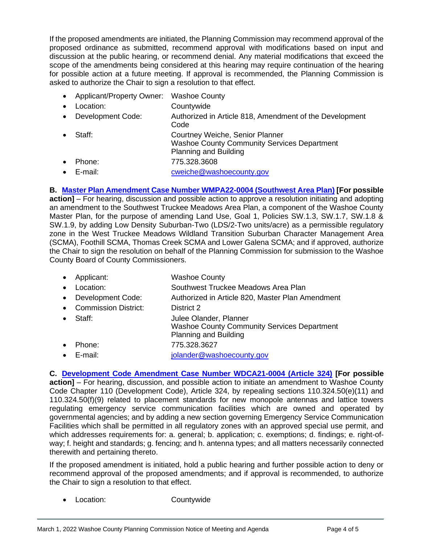If the proposed amendments are initiated, the Planning Commission may recommend approval of the proposed ordinance as submitted, recommend approval with modifications based on input and discussion at the public hearing, or recommend denial. Any material modifications that exceed the scope of the amendments being considered at this hearing may require continuation of the hearing for possible action at a future meeting. If approval is recommended, the Planning Commission is asked to authorize the Chair to sign a resolution to that effect.

- Applicant/Property Owner: Washoe County
- Location: Countywide
- Development Code: Authorized in Article 818, Amendment of the Development Code • Staff: Courtney Weiche, Senior Planner
- Washoe County Community Services Department Planning and Building
- Phone: 775.328.3608
- E-mail: [cweiche@washoecounty.gov](mailto:cweiche@washoecounty.gov)

**B. [Master Plan Amendment Case Number WMPA22-0004 \(Southwest Area](https://www.washoecounty.gov/csd/planning_and_development/board_commission/planning_commission/2022/Files/WMPA22-0004sr.pdf) Plan) [For possible** 

**action]** – For hearing, discussion and possible action to approve a resolution initiating and adopting an amendment to the Southwest Truckee Meadows Area Plan, a component of the Washoe County Master Plan, for the purpose of amending Land Use, Goal 1, Policies SW.1.3, SW.1.7, SW.1.8 & SW.1.9, by adding Low Density Suburban-Two (LDS/2-Two units/acre) as a permissible regulatory zone in the West Truckee Meadows Wildland Transition Suburban Character Management Area (SCMA), Foothill SCMA, Thomas Creek SCMA and Lower Galena SCMA; and if approved, authorize the Chair to sign the resolution on behalf of the Planning Commission for submission to the Washoe County Board of County Commissioners.

- Applicant: Washoe County
- Location: Southwest Truckee Meadows Area Plan
- Development Code: Authorized in Article 820, Master Plan Amendment
- Commission District: District 2
- Staff: Julee Olander, Planner Washoe County Community Services Department Planning and Building • Phone: 775.328.3627
- E-mail: [jolander@washoecounty.gov](mailto:jolander@washoecounty.gov)

**C. [Development Code Amendment Case Number WDCA21-0004 \(Article 324\)](https://www.washoecounty.gov/csd/planning_and_development/board_commission/planning_commission/2022/Files/WDCA21-0004sr.pdf) [For possible action]** – For hearing, discussion, and possible action to initiate an amendment to Washoe County Code Chapter 110 (Development Code), Article 324, by repealing sections 110.324.50(e)(11) and 110.324.50(f)(9) related to placement standards for new monopole antennas and lattice towers regulating emergency service communication facilities which are owned and operated by governmental agencies; and by adding a new section governing Emergency Service Communication Facilities which shall be permitted in all regulatory zones with an approved special use permit, and which addresses requirements for: a. general; b. application; c. exemptions; d. findings; e. right-ofway; f. height and standards; g. fencing; and h. antenna types; and all matters necessarily connected therewith and pertaining thereto.

If the proposed amendment is initiated, hold a public hearing and further possible action to deny or recommend approval of the proposed amendments; and if approval is recommended, to authorize the Chair to sign a resolution to that effect.

• Location: Countywide